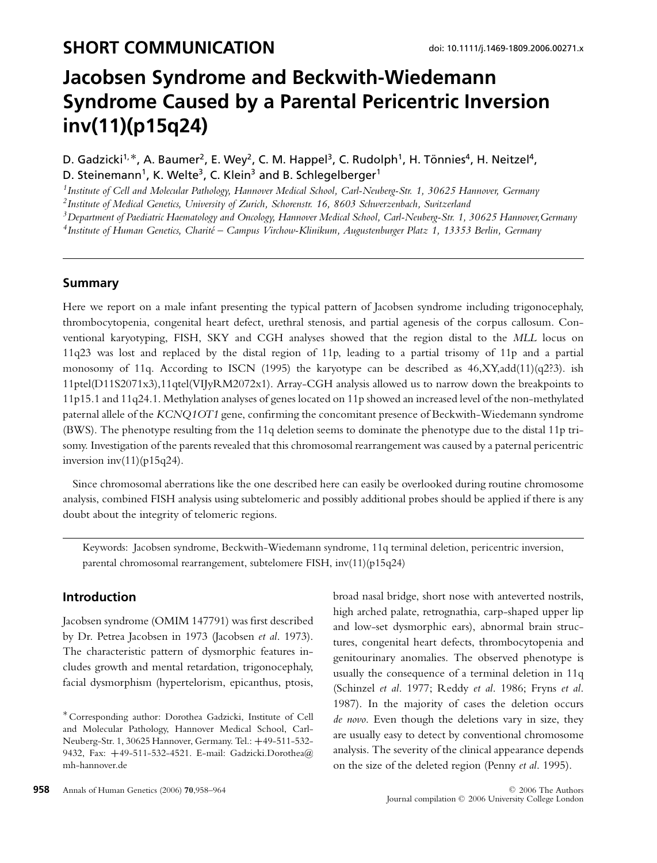# **Jacobsen Syndrome and Beckwith-Wiedemann Syndrome Caused by a Parental Pericentric Inversion inv(11)(p15q24)**

D. Gadzicki<sup>1,\*</sup>, A. Baumer<sup>2</sup>, E. Wey<sup>2</sup>, C. M. Happel<sup>3</sup>, C. Rudolph<sup>1</sup>, H. Tönnies<sup>4</sup>, H. Neitzel<sup>4</sup>, D. Steinemann<sup>1</sup>, K. Welte<sup>3</sup>, C. Klein<sup>3</sup> and B. Schlegelberger<sup>1</sup>

*1Institute of Cell and Molecular Pathology, Hannover Medical School, Carl-Neuberg-Str. 1, 30625 Hannover, Germany*

*2Institute of Medical Genetics, University of Zurich, Schorenstr. 16, 8603 Schwerzenbach, Switzerland*

*3Department of Paediatric Haematology and Oncology, Hannover Medical School, Carl-Neuberg-Str. 1, 30625 Hannover,Germany*

*4Institute of Human Genetics, Charite – Campus Virchow-Klinikum, Augustenburger Platz 1, 13353 Berlin, Germany ´*

#### **Summary**

Here we report on a male infant presenting the typical pattern of Jacobsen syndrome including trigonocephaly, thrombocytopenia, congenital heart defect, urethral stenosis, and partial agenesis of the corpus callosum. Conventional karyotyping, FISH, SKY and CGH analyses showed that the region distal to the *MLL* locus on 11q23 was lost and replaced by the distal region of 11p, leading to a partial trisomy of 11p and a partial monosomy of 11q. According to ISCN (1995) the karyotype can be described as 46,XY,add(11)(q2?3). ish 11ptel(D11S2071x3),11qtel(VIJyRM2072x1). Array-CGH analysis allowed us to narrow down the breakpoints to 11p15.1 and 11q24.1. Methylation analyses of genes located on 11p showed an increased level of the non-methylated paternal allele of the *KCNQ1OT1* gene, confirming the concomitant presence of Beckwith-Wiedemann syndrome (BWS). The phenotype resulting from the 11q deletion seems to dominate the phenotype due to the distal 11p trisomy. Investigation of the parents revealed that this chromosomal rearrangement was caused by a paternal pericentric inversion  $inv(11)(p15q24)$ .

Since chromosomal aberrations like the one described here can easily be overlooked during routine chromosome analysis, combined FISH analysis using subtelomeric and possibly additional probes should be applied if there is any doubt about the integrity of telomeric regions.

Keywords: Jacobsen syndrome, Beckwith-Wiedemann syndrome, 11q terminal deletion, pericentric inversion, parental chromosomal rearrangement, subtelomere FISH, inv(11)(p15q24)

## **Introduction**

Jacobsen syndrome (OMIM 147791) was first described by Dr. Petrea Jacobsen in 1973 (Jacobsen *et al*. 1973). The characteristic pattern of dysmorphic features includes growth and mental retardation, trigonocephaly, facial dysmorphism (hypertelorism, epicanthus, ptosis,

**958** Annals of Human Genetics (2006) **70**,958–964 C 2006 The Authors **C 2006** The Authors

broad nasal bridge, short nose with anteverted nostrils, high arched palate, retrognathia, carp-shaped upper lip and low-set dysmorphic ears), abnormal brain structures, congenital heart defects, thrombocytopenia and genitourinary anomalies. The observed phenotype is usually the consequence of a terminal deletion in 11q (Schinzel *et al*. 1977; Reddy *et al*. 1986; Fryns *et al*. 1987). In the majority of cases the deletion occurs *de novo*. Even though the deletions vary in size, they are usually easy to detect by conventional chromosome analysis. The severity of the clinical appearance depends on the size of the deleted region (Penny *et al*. 1995).

<sup>∗</sup>Corresponding author: Dorothea Gadzicki, Institute of Cell and Molecular Pathology, Hannover Medical School, Carl-Neuberg-Str. 1, 30625 Hannover, Germany. Tel.: **+**49-511-532- 9432, Fax: **+**49-511-532-4521. E-mail: Gadzicki.Dorothea@ mh-hannover.de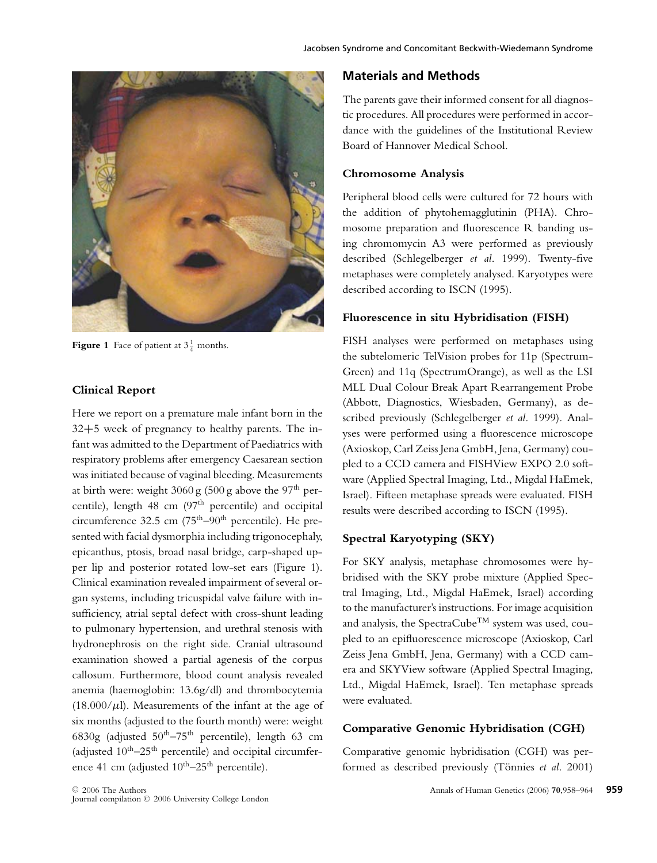

**Figure 1** Face of patient at  $3\frac{1}{4}$  months.

#### **Clinical Report**

Here we report on a premature male infant born in the 32**+**5 week of pregnancy to healthy parents. The infant was admitted to the Department of Paediatrics with respiratory problems after emergency Caesarean section was initiated because of vaginal bleeding. Measurements at birth were: weight  $3060 \text{ g}$  (500 g above the 97<sup>th</sup> percentile), length 48 cm (97<sup>th</sup> percentile) and occipital circumference 32.5 cm  $(75<sup>th</sup>-90<sup>th</sup>$  percentile). He presented with facial dysmorphia including trigonocephaly, epicanthus, ptosis, broad nasal bridge, carp-shaped upper lip and posterior rotated low-set ears (Figure 1). Clinical examination revealed impairment of several organ systems, including tricuspidal valve failure with insufficiency, atrial septal defect with cross-shunt leading to pulmonary hypertension, and urethral stenosis with hydronephrosis on the right side. Cranial ultrasound examination showed a partial agenesis of the corpus callosum. Furthermore, blood count analysis revealed anemia (haemoglobin: 13.6g/dl) and thrombocytemia  $(18.000/\mu l)$ . Measurements of the infant at the age of six months (adjusted to the fourth month) were: weight 6830g (adjusted  $50^{\text{th}} - 75^{\text{th}}$  percentile), length 63 cm (adjusted  $10^{\text{th}} - 25^{\text{th}}$  percentile) and occipital circumference 41 cm (adjusted  $10^{th}$ –25<sup>th</sup> percentile).

# **Materials and Methods**

The parents gave their informed consent for all diagnostic procedures. All procedures were performed in accordance with the guidelines of the Institutional Review Board of Hannover Medical School.

#### **Chromosome Analysis**

Peripheral blood cells were cultured for 72 hours with the addition of phytohemagglutinin (PHA). Chromosome preparation and fluorescence R banding using chromomycin A3 were performed as previously described (Schlegelberger *et al*. 1999). Twenty-five metaphases were completely analysed. Karyotypes were described according to ISCN (1995).

#### **Fluorescence in situ Hybridisation (FISH)**

FISH analyses were performed on metaphases using the subtelomeric TelVision probes for 11p (Spectrum-Green) and 11q (SpectrumOrange), as well as the LSI MLL Dual Colour Break Apart Rearrangement Probe (Abbott, Diagnostics, Wiesbaden, Germany), as described previously (Schlegelberger *et al*. 1999). Analyses were performed using a fluorescence microscope (Axioskop, Carl Zeiss Jena GmbH, Jena, Germany) coupled to a CCD camera and FISHView EXPO 2.0 software (Applied Spectral Imaging, Ltd., Migdal HaEmek, Israel). Fifteen metaphase spreads were evaluated. FISH results were described according to ISCN (1995).

## **Spectral Karyotyping (SKY)**

For SKY analysis, metaphase chromosomes were hybridised with the SKY probe mixture (Applied Spectral Imaging, Ltd., Migdal HaEmek, Israel) according to the manufacturer's instructions. For image acquisition and analysis, the SpectraCube<sup>TM</sup> system was used, coupled to an epifluorescence microscope (Axioskop, Carl Zeiss Jena GmbH, Jena, Germany) with a CCD camera and SKYView software (Applied Spectral Imaging, Ltd., Migdal HaEmek, Israel). Ten metaphase spreads were evaluated.

## **Comparative Genomic Hybridisation (CGH)**

Comparative genomic hybridisation (CGH) was performed as described previously (Tönnies et al. 2001)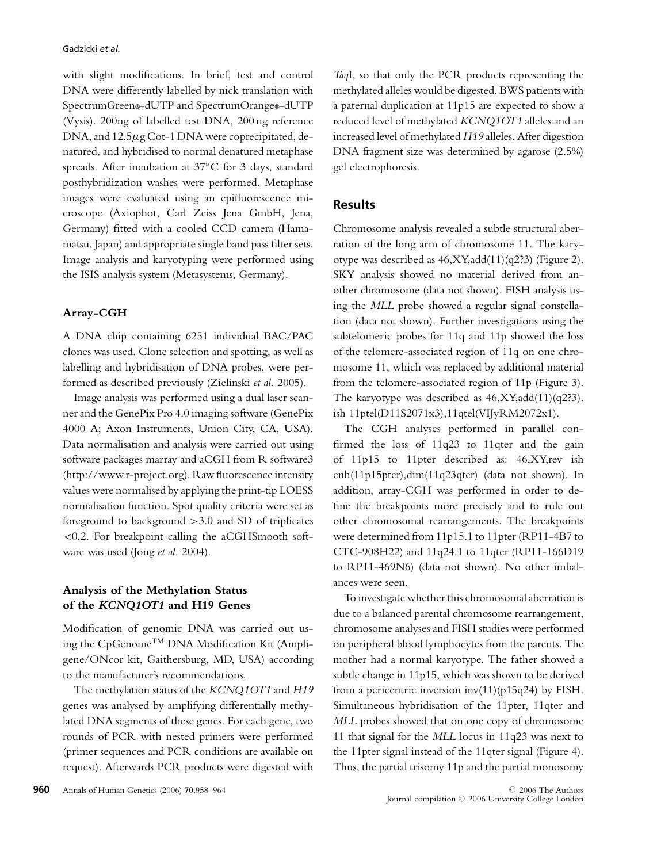with slight modifications. In brief, test and control DNA were differently labelled by nick translation with SpectrumGreen®-dUTP and SpectrumOrange®-dUTP (Vysis). 200ng of labelled test DNA, 200 ng reference DNA, and  $12.5\mu$ g Cot-1 DNA were coprecipitated, denatured, and hybridised to normal denatured metaphase spreads. After incubation at 37◦C for 3 days, standard posthybridization washes were performed. Metaphase images were evaluated using an epifluorescence microscope (Axiophot, Carl Zeiss Jena GmbH, Jena, Germany) fitted with a cooled CCD camera (Hamamatsu, Japan) and appropriate single band pass filter sets. Image analysis and karyotyping were performed using the ISIS analysis system (Metasystems, Germany).

#### **Array-CGH**

A DNA chip containing 6251 individual BAC/PAC clones was used. Clone selection and spotting, as well as labelling and hybridisation of DNA probes, were performed as described previously (Zielinski *et al.* 2005).

Image analysis was performed using a dual laser scanner and the GenePix Pro 4.0 imaging software (GenePix 4000 A; Axon Instruments, Union City, CA, USA). Data normalisation and analysis were carried out using software packages marray and aCGH from R software3 (http://www.r-project.org). Raw fluorescence intensity values were normalised by applying the print-tip LOESS normalisation function. Spot quality criteria were set as foreground to background  $>3.0$  and SD of triplicates <0.2. For breakpoint calling the aCGHSmooth software was used (Jong *et al.* 2004).

## **Analysis of the Methylation Status of the** *KCNQ1OT1* **and H19 Genes**

Modification of genomic DNA was carried out using the CpGenomeTM DNA Modification Kit (Ampligene/ONcor kit, Gaithersburg, MD, USA) according to the manufacturer's recommendations.

The methylation status of the *KCNQ1OT1* and *H19* genes was analysed by amplifying differentially methylated DNA segments of these genes. For each gene, two rounds of PCR with nested primers were performed (primer sequences and PCR conditions are available on request). Afterwards PCR products were digested with

*Taq*I, so that only the PCR products representing the methylated alleles would be digested. BWS patients with a paternal duplication at 11p15 are expected to show a reduced level of methylated *KCNQ1OT1* alleles and an increased level of methylated *H19* alleles. After digestion DNA fragment size was determined by agarose (2.5%) gel electrophoresis.

## **Results**

Chromosome analysis revealed a subtle structural aberration of the long arm of chromosome 11. The karyotype was described as 46,XY,add(11)(q2?3) (Figure 2). SKY analysis showed no material derived from another chromosome (data not shown). FISH analysis using the *MLL* probe showed a regular signal constellation (data not shown). Further investigations using the subtelomeric probes for 11q and 11p showed the loss of the telomere-associated region of 11q on one chromosome 11, which was replaced by additional material from the telomere-associated region of 11p (Figure 3). The karyotype was described as 46,XY,add(11)(q2?3). ish 11ptel(D11S2071x3),11qtel(VIJyRM2072x1).

The CGH analyses performed in parallel confirmed the loss of 11q23 to 11qter and the gain of 11p15 to 11pter described as: 46,XY,rev ish enh(11p15pter),dim(11q23qter) (data not shown). In addition, array-CGH was performed in order to define the breakpoints more precisely and to rule out other chromosomal rearrangements. The breakpoints were determined from 11p15.1 to 11pter (RP11-4B7 to CTC-908H22) and 11q24.1 to 11qter (RP11-166D19 to RP11-469N6) (data not shown). No other imbalances were seen.

To investigate whether this chromosomal aberration is due to a balanced parental chromosome rearrangement, chromosome analyses and FISH studies were performed on peripheral blood lymphocytes from the parents. The mother had a normal karyotype. The father showed a subtle change in 11p15, which was shown to be derived from a pericentric inversion inv(11)(p15q24) by FISH. Simultaneous hybridisation of the 11pter, 11qter and *MLL* probes showed that on one copy of chromosome 11 that signal for the *MLL* locus in 11q23 was next to the 11pter signal instead of the 11qter signal (Figure 4). Thus, the partial trisomy 11p and the partial monosomy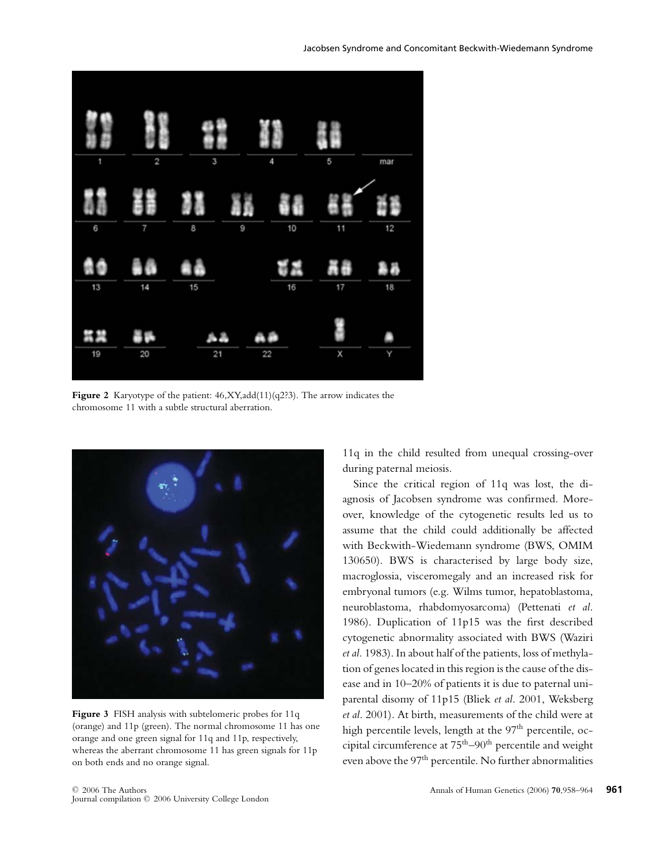

**Figure 2** Karyotype of the patient: 46,XY,add(11)(q2?3). The arrow indicates the chromosome 11 with a subtle structural aberration.



Figure 3 FISH analysis with subtelomeric probes for 11q (orange) and 11p (green). The normal chromosome 11 has one orange and one green signal for 11q and 11p, respectively, whereas the aberrant chromosome 11 has green signals for 11p on both ends and no orange signal.

11q in the child resulted from unequal crossing-over during paternal meiosis.

Since the critical region of 11q was lost, the diagnosis of Jacobsen syndrome was confirmed. Moreover, knowledge of the cytogenetic results led us to assume that the child could additionally be affected with Beckwith-Wiedemann syndrome (BWS, OMIM 130650). BWS is characterised by large body size, macroglossia, visceromegaly and an increased risk for embryonal tumors (e.g. Wilms tumor, hepatoblastoma, neuroblastoma, rhabdomyosarcoma) (Pettenati *et al*. 1986). Duplication of 11p15 was the first described cytogenetic abnormality associated with BWS (Waziri *et al.* 1983). In about half of the patients, loss of methylation of genes located in this region is the cause of the disease and in 10–20% of patients it is due to paternal uniparental disomy of 11p15 (Bliek *et al*. 2001, Weksberg *et al*. 2001). At birth, measurements of the child were at high percentile levels, length at the 97<sup>th</sup> percentile, occipital circumference at  $75<sup>th</sup>-90<sup>th</sup>$  percentile and weight even above the 97<sup>th</sup> percentile. No further abnormalities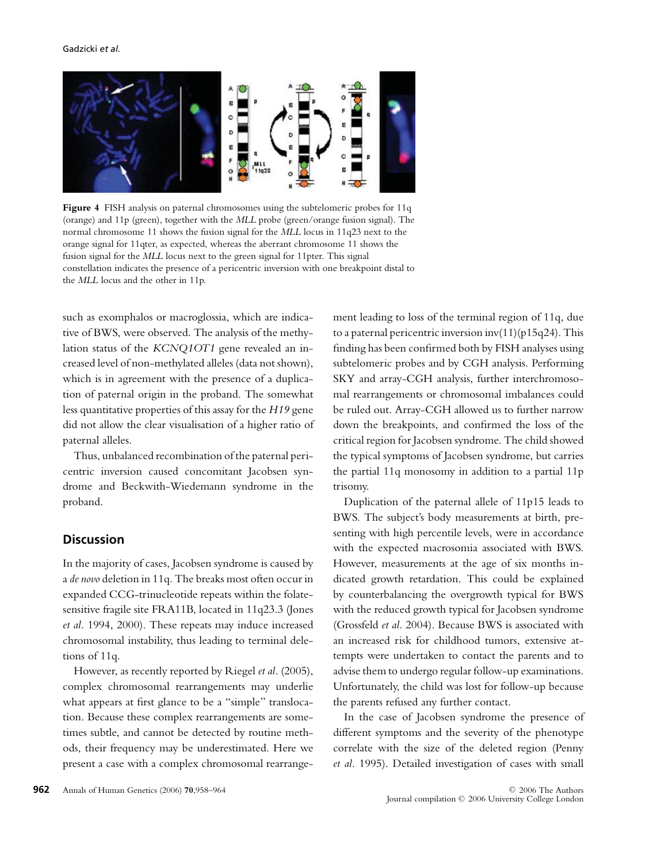

Figure 4 FISH analysis on paternal chromosomes using the subtelomeric probes for 11q (orange) and 11p (green), together with the *MLL* probe (green/orange fusion signal). The normal chromosome 11 shows the fusion signal for the *MLL* locus in 11q23 next to the orange signal for 11qter, as expected, whereas the aberrant chromosome 11 shows the fusion signal for the *MLL* locus next to the green signal for 11pter. This signal constellation indicates the presence of a pericentric inversion with one breakpoint distal to the *MLL* locus and the other in 11p.

such as exomphalos or macroglossia, which are indicative of BWS, were observed. The analysis of the methylation status of the *KCNQ1OT1* gene revealed an increased level of non-methylated alleles (data not shown), which is in agreement with the presence of a duplication of paternal origin in the proband. The somewhat less quantitative properties of this assay for the *H19* gene did not allow the clear visualisation of a higher ratio of paternal alleles.

Thus, unbalanced recombination of the paternal pericentric inversion caused concomitant Jacobsen syndrome and Beckwith-Wiedemann syndrome in the proband.

## **Discussion**

In the majority of cases, Jacobsen syndrome is caused by a *de novo* deletion in 11q. The breaks most often occur in expanded CCG-trinucleotide repeats within the folatesensitive fragile site FRA11B, located in 11q23.3 (Jones *et al*. 1994, 2000). These repeats may induce increased chromosomal instability, thus leading to terminal deletions of 11q.

However, as recently reported by Riegel *et al*. (2005), complex chromosomal rearrangements may underlie what appears at first glance to be a "simple" translocation. Because these complex rearrangements are sometimes subtle, and cannot be detected by routine methods, their frequency may be underestimated. Here we present a case with a complex chromosomal rearrangement leading to loss of the terminal region of 11q, due to a paternal pericentric inversion  $inv(11)(p15q24)$ . This finding has been confirmed both by FISH analyses using subtelomeric probes and by CGH analysis. Performing SKY and array-CGH analysis, further interchromosomal rearrangements or chromosomal imbalances could be ruled out. Array-CGH allowed us to further narrow down the breakpoints, and confirmed the loss of the critical region for Jacobsen syndrome. The child showed the typical symptoms of Jacobsen syndrome, but carries the partial 11q monosomy in addition to a partial 11p trisomy.

Duplication of the paternal allele of 11p15 leads to BWS. The subject's body measurements at birth, presenting with high percentile levels, were in accordance with the expected macrosomia associated with BWS. However, measurements at the age of six months indicated growth retardation. This could be explained by counterbalancing the overgrowth typical for BWS with the reduced growth typical for Jacobsen syndrome (Grossfeld *et al*. 2004). Because BWS is associated with an increased risk for childhood tumors, extensive attempts were undertaken to contact the parents and to advise them to undergo regular follow-up examinations. Unfortunately, the child was lost for follow-up because the parents refused any further contact.

In the case of Jacobsen syndrome the presence of different symptoms and the severity of the phenotype correlate with the size of the deleted region (Penny *et al*. 1995). Detailed investigation of cases with small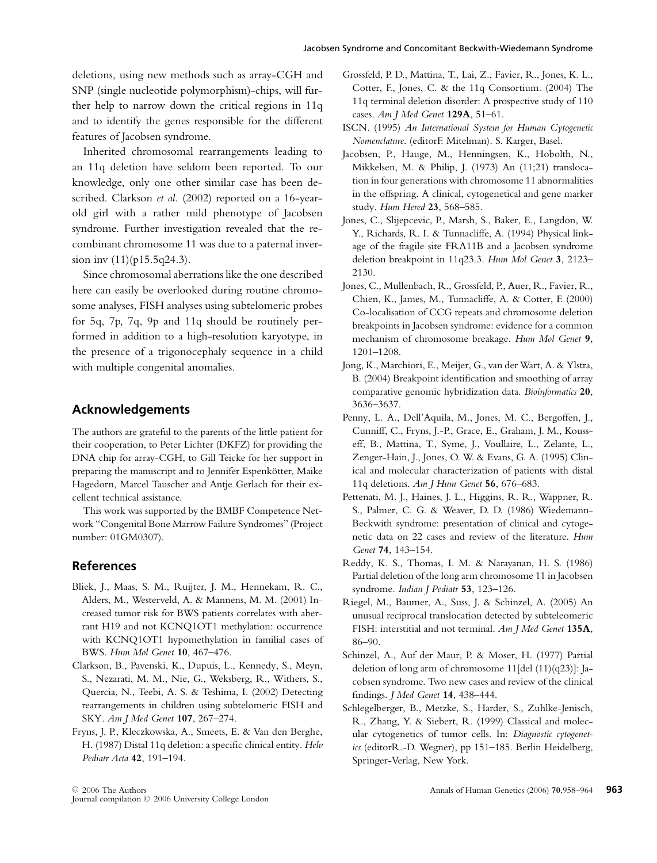deletions, using new methods such as array-CGH and SNP (single nucleotide polymorphism)-chips, will further help to narrow down the critical regions in 11q and to identify the genes responsible for the different features of Jacobsen syndrome.

Inherited chromosomal rearrangements leading to an 11q deletion have seldom been reported. To our knowledge, only one other similar case has been described. Clarkson *et al*. (2002) reported on a 16-yearold girl with a rather mild phenotype of Jacobsen syndrome. Further investigation revealed that the recombinant chromosome 11 was due to a paternal inversion inv (11)(p15.5q24.3).

Since chromosomal aberrations like the one described here can easily be overlooked during routine chromosome analyses, FISH analyses using subtelomeric probes for 5q, 7p, 7q, 9p and 11q should be routinely performed in addition to a high-resolution karyotype, in the presence of a trigonocephaly sequence in a child with multiple congenital anomalies.

#### **Acknowledgements**

The authors are grateful to the parents of the little patient for their cooperation, to Peter Lichter (DKFZ) for providing the DNA chip for array-CGH, to Gill Teicke for her support in preparing the manuscript and to Jennifer Espenkötter, Maike Hagedorn, Marcel Tauscher and Antje Gerlach for their excellent technical assistance.

This work was supported by the BMBF Competence Network "Congenital Bone Marrow Failure Syndromes" (Project number: 01GM0307).

#### **References**

- Bliek, J., Maas, S. M., Ruijter, J. M., Hennekam, R. C., Alders, M., Westerveld, A. & Mannens, M. M. (2001) Increased tumor risk for BWS patients correlates with aberrant H19 and not KCNQ1OT1 methylation: occurrence with KCNQ1OT1 hypomethylation in familial cases of BWS. *Hum Mol Genet* **10**, 467–476.
- Clarkson, B., Pavenski, K., Dupuis, L., Kennedy, S., Meyn, S., Nezarati, M. M., Nie, G., Weksberg, R., Withers, S., Quercia, N., Teebi, A. S. & Teshima, I. (2002) Detecting rearrangements in children using subtelomeric FISH and SKY. *Am J Med Genet* **107**, 267–274.
- Fryns, J. P., Kleczkowska, A., Smeets, E. & Van den Berghe, H. (1987) Distal 11q deletion: a specific clinical entity. *Helv Pediatr Acta* **42**, 191–194.
- Grossfeld, P. D., Mattina, T., Lai, Z., Favier, R., Jones, K. L., Cotter, F., Jones, C. & the 11q Consortium. (2004) The 11q terminal deletion disorder: A prospective study of 110 cases. *Am J Med Genet* **129A**, 51–61.
- ISCN. (1995) *An International System for Human Cytogenetic Nomenclature*. (editorF. Mitelman). S. Karger, Basel.
- Jacobsen, P., Hauge, M., Henningsen, K., Hobolth, N., Mikkelsen, M. & Philip, J. (1973) An (11;21) translocation in four generations with chromosome 11 abnormalities in the offspring. A clinical, cytogenetical and gene marker study. *Hum Hered* **23**, 568–585.
- Jones, C., Slijepcevic, P., Marsh, S., Baker, E., Langdon, W. Y., Richards, R. I. & Tunnacliffe, A. (1994) Physical linkage of the fragile site FRA11B and a Jacobsen syndrome deletion breakpoint in 11q23.3. *Hum Mol Genet* **3**, 2123– 2130.
- Jones, C., Mullenbach, R., Grossfeld, P., Auer, R., Favier, R., Chien, K., James, M., Tunnacliffe, A. & Cotter, F. (2000) Co-localisation of CCG repeats and chromosome deletion breakpoints in Jacobsen syndrome: evidence for a common mechanism of chromosome breakage. *Hum Mol Genet* **9**, 1201–1208.
- Jong, K., Marchiori, E., Meijer, G., van der Wart, A. & Ylstra, B. (2004) Breakpoint identification and smoothing of array comparative genomic hybridization data. *Bioinformatics* **20**, 3636–3637.
- Penny, L. A., Dell'Aquila, M., Jones, M. C., Bergoffen, J., Cunniff, C., Fryns, J.-P., Grace, E., Graham, J. M., Kousseff, B., Mattina, T., Syme, J., Voullaire, L., Zelante, L., Zenger-Hain, J., Jones, O. W. & Evans, G. A. (1995) Clinical and molecular characterization of patients with distal 11q deletions. *Am J Hum Genet* **56**, 676–683.
- Pettenati, M. J., Haines, J. L., Higgins, R. R., Wappner, R. S., Palmer, C. G. & Weaver, D. D. (1986) Wiedemann-Beckwith syndrome: presentation of clinical and cytogenetic data on 22 cases and review of the literature. *Hum Genet* **74**, 143–154.
- Reddy, K. S., Thomas, I. M. & Narayanan, H. S. (1986) Partial deletion of the long arm chromosome 11 in Jacobsen syndrome. *Indian J Pediatr* **53**, 123–126.
- Riegel, M., Baumer, A., Suss, J. & Schinzel, A. (2005) An unusual reciprocal translocation detected by subteleomeric FISH: interstitial and not terminal. *Am J Med Genet* **135A**, 86–90.
- Schinzel, A., Auf der Maur, P. & Moser, H. (1977) Partial deletion of long arm of chromosome 11[del (11)(q23)]: Jacobsen syndrome. Two new cases and review of the clinical findings. *J Med Genet* **14**, 438–444.
- Schlegelberger, B., Metzke, S., Harder, S., Zuhlke-Jenisch, R., Zhang, Y. & Siebert, R. (1999) Classical and molecular cytogenetics of tumor cells. In: *Diagnostic cytogenetics* (editorR.-D. Wegner), pp 151–185. Berlin Heidelberg, Springer-Verlag, New York.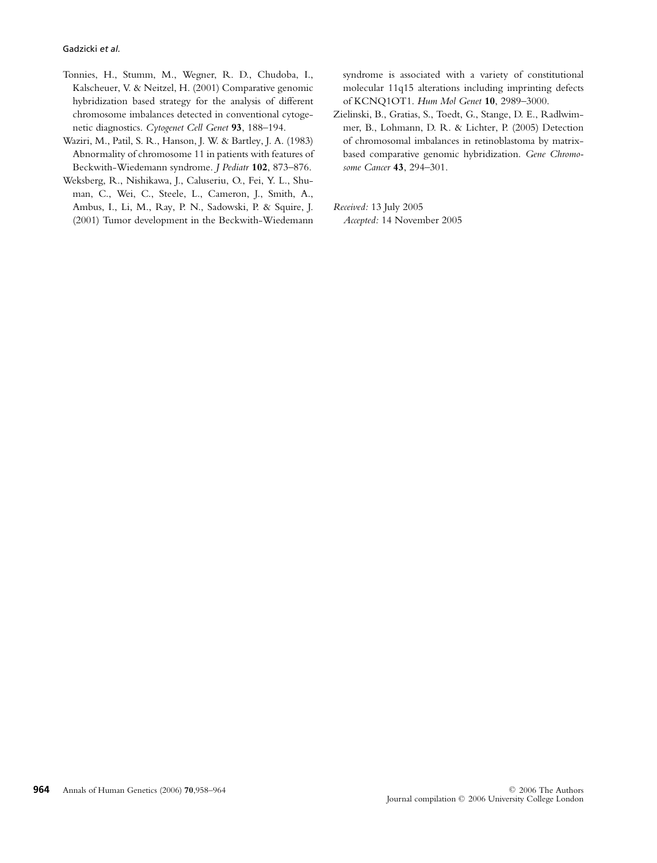- Tonnies, H., Stumm, M., Wegner, R. D., Chudoba, I., Kalscheuer, V. & Neitzel, H. (2001) Comparative genomic hybridization based strategy for the analysis of different chromosome imbalances detected in conventional cytogenetic diagnostics. *Cytogenet Cell Genet* **93**, 188–194.
- Waziri, M., Patil, S. R., Hanson, J. W. & Bartley, J. A. (1983) Abnormality of chromosome 11 in patients with features of Beckwith-Wiedemann syndrome. *J Pediatr* **102**, 873–876.
- Weksberg, R., Nishikawa, J., Caluseriu, O., Fei, Y. L., Shuman, C., Wei, C., Steele, L., Cameron, J., Smith, A., Ambus, I., Li, M., Ray, P. N., Sadowski, P. & Squire, J. (2001) Tumor development in the Beckwith-Wiedemann

syndrome is associated with a variety of constitutional molecular 11q15 alterations including imprinting defects of KCNQ1OT1. *Hum Mol Genet* **10**, 2989–3000.

Zielinski, B., Gratias, S., Toedt, G., Stange, D. E., Radlwimmer, B., Lohmann, D. R. & Lichter, P. (2005) Detection of chromosomal imbalances in retinoblastoma by matrixbased comparative genomic hybridization. *Gene Chromosome Cancer* **43**, 294–301.

*Received:* 13 July 2005 *Accepted:* 14 November 2005